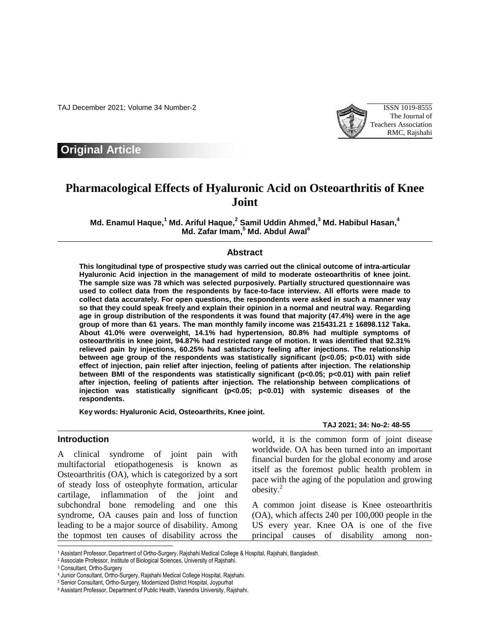TAJ December 2021; Volume 34 Number-2 ISSN 1019-8555



## **Original Article**

# **Pharmacological Effects of Hyaluronic Acid on Osteoarthritis of Knee Joint**

**Md. Enamul Haque, <sup>1</sup> Md. Ariful Haque, 2 Samil Uddin Ahmed, <sup>3</sup> Md. Habibul Hasan, 4 Md. Zafar Imam, <sup>5</sup> Md. Abdul Awal<sup>6</sup>**

#### **Abstract**

**This longitudinal type of prospective study was carried out the clinical outcome of intra-articular Hyaluronic Acid injection in the management of mild to moderate osteoarthritis of knee joint. The sample size was 78 which was selected purposively. Partially structured questionnaire was used to collect data from the respondents by face-to-face interview. All efforts were made to collect data accurately. For open questions, the respondents were asked in such a manner way so that they could speak freely and explain their opinion in a normal and neutral way. Regarding age in group distribution of the respondents it was found that majority (47.4%) were in the age group of more than 61 years. The man monthly family income was 215431.21 ± 16898.112 Taka. About 41.0% were overweight, 14.1% had hypertension, 80.8% had multiple symptoms of osteoarthritis in knee joint, 94.87% had restricted range of motion. It was identified that 92.31% relieved pain by injections, 60.25% had satisfactory feeling after injections. The relationship between age group of the respondents was statistically significant (p<0.05; p<0.01) with side effect of injection, pain relief after injection, feeling of patients after injection. The relationship between BMI of the respondents was statistically significant (p<0.05; p<0.01) with pain relief after injection, feeling of patients after injection. The relationship between complications of injection was statistically significant (p<0.05; p<0.01) with systemic diseases of the respondents.**

**Key words: Hyaluronic Acid, Osteoarthrits, Knee joint.**

#### **Introduction**

A clinical syndrome of joint pain with multifactorial etiopathogenesis is known as Osteoarthritis (OA), which is categorized by a sort of steady loss of osteophyte formation, articular cartilage, inflammation of the joint and subchondral bone remodeling and one this syndrome, OA causes pain and loss of function leading to be a major source of disability. Among the topmost ten causes of disability across the

**TAJ 2021; 34: No-2: 48-55**

world, it is the common form of joint disease worldwide. OA has been turned into an important financial burden for the global economy and arose itself as the foremost public health problem in pace with the aging of the population and growing obesity.<sup>2</sup>

A common joint disease is Knee osteoarthritis (OA), which affects 240 per 100,000 people in the US every year. Knee OA is one of the five principal causes of disability among non-

l

<sup>1</sup> Assistant Professor,Department of Ortho-Surgery, Rajshahi Medical College & Hospital, Rajshahi, Bangladesh.

<sup>2</sup> Associate Professor, Institute of Biological Sciences, University of Rajshahi.

<sup>3</sup> Consultant, Ortho-Surgery

<sup>4</sup> Junior Consultant, Ortho-Surgery, Rajshahi Medical College Hospital, Rajshahi.

<sup>5</sup> Senior Consultant, Ortho-Surgery, Modernized District Hospital, Joypurhat

<sup>6</sup> Assistant Professor, Department of Public Health, Varendra University, Rajshahi.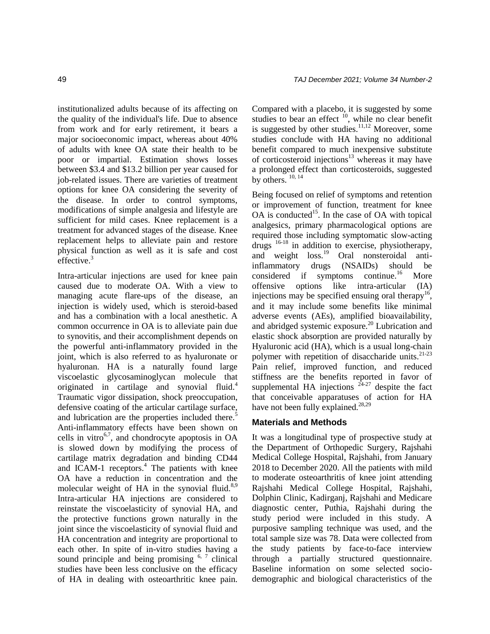institutionalized adults because of its affecting on the quality of the individual's life. Due to absence from work and for early retirement, it bears a major socioeconomic impact, whereas about 40% of adults with knee OA state their health to be poor or impartial. Estimation shows losses between \$3.4 and \$13.2 billion per year caused for job-related issues. There are varieties of treatment options for knee OA considering the severity of the disease. In order to control symptoms, modifications of simple analgesia and lifestyle are sufficient for mild cases. Knee replacement is a treatment for advanced stages of the disease. Knee replacement helps to alleviate pain and restore physical function as well as it is safe and cost effective.<sup>3</sup>

Intra-articular injections are used for knee pain caused due to moderate OA. With a view to managing acute flare-ups of the disease, an injection is widely used, which is steroid-based and has a combination with a local anesthetic. A common occurrence in OA is to alleviate pain due to synovitis, and their accomplishment depends on the powerful anti-inflammatory provided in the joint, which is also referred to as hyaluronate or hyaluronan. HA is a naturally found large viscoelastic glycosaminoglycan molecule that originated in cartilage and synovial fluid.<sup>4</sup> Traumatic vigor dissipation, shock preoccupation, defensive coating of the articular cartilage surface, and lubrication are the properties included there.<sup>5</sup> Anti-inflammatory effects have been shown on cells in vitro<sup>6,7</sup>, and chondrocyte apoptosis in  $OA$ is slowed down by modifying the process of cartilage matrix degradation and binding CD44 and ICAM-1 receptors.<sup>4</sup> The patients with knee OA have a reduction in concentration and the molecular weight of HA in the synovial fluid. $8,9$ Intra-articular HA injections are considered to reinstate the viscoelasticity of synovial HA, and the protective functions grown naturally in the joint since the viscoelasticity of synovial fluid and HA concentration and integrity are proportional to each other. In spite of in-vitro studies having a sound principle and being promising  $6, 7$  clinical studies have been less conclusive on the efficacy of HA in dealing with osteoarthritic knee pain.

Compared with a placebo, it is suggested by some studies to bear an effect  $^{10}$ , while no clear benefit is suggested by other studies. $11,12$  Moreover, some studies conclude with HA having no additional benefit compared to much inexpensive substitute of corticosteroid injections<sup>13</sup> whereas it may have a prolonged effect than corticosteroids, suggested by others.  $10, 14$ 

Being focused on relief of symptoms and retention or improvement of function, treatment for knee  $OA$  is conducted<sup>15</sup>. In the case of  $OA$  with topical analgesics, primary pharmacological options are required those including symptomatic slow-acting drugs  $16-18$  in addition to exercise, physiotherapy, and weight loss.<sup>19</sup> Oral nonsteroidal antiinflammatory drugs (NSAIDs) should be considered if symptoms continue.<sup>16</sup> More offensive options like intra-articular (IA) injections may be specified ensuing oral therapy<sup>16</sup>, and it may include some benefits like minimal adverse events (AEs), amplified bioavailability, and abridged systemic exposure.<sup>20</sup> Lubrication and elastic shock absorption are provided naturally by Hyaluronic acid (HA), which is a usual long-chain polymer with repetition of disaccharide units. $21-23$ Pain relief, improved function, and reduced stiffness are the benefits reported in favor of supplemental HA injections  $24-27$  despite the fact that conceivable apparatuses of action for HA have not been fully explained.<sup>28,29</sup>

## **Materials and Methods**

It was a longitudinal type of prospective study at the Department of Orthopedic Surgery, Rajshahi Medical College Hospital, Rajshahi, from January 2018 to December 2020. All the patients with mild to moderate osteoarthritis of knee joint attending Rajshahi Medical College Hospital, Rajshahi, Dolphin Clinic, Kadirganj, Rajshahi and Medicare diagnostic center, Puthia, Rajshahi during the study period were included in this study. A purposive sampling technique was used, and the total sample size was 78. Data were collected from the study patients by face-to-face interview through a partially structured questionnaire. Baseline information on some selected sociodemographic and biological characteristics of the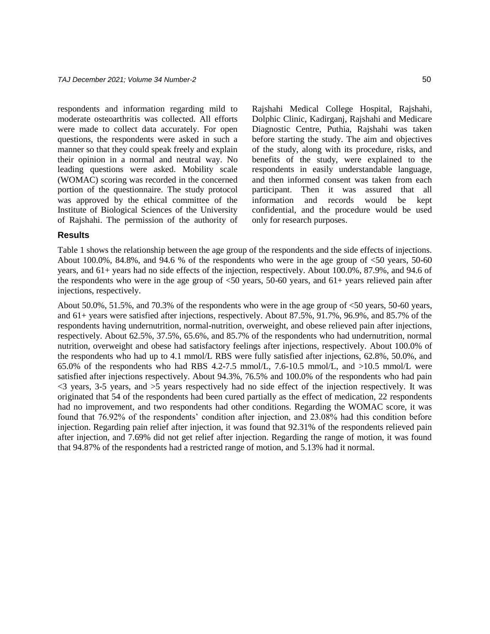respondents and information regarding mild to moderate osteoarthritis was collected. All efforts were made to collect data accurately. For open questions, the respondents were asked in such a manner so that they could speak freely and explain their opinion in a normal and neutral way. No leading questions were asked. Mobility scale (WOMAC) scoring was recorded in the concerned portion of the questionnaire. The study protocol was approved by the ethical committee of the Institute of Biological Sciences of the University of Rajshahi. The permission of the authority of Rajshahi Medical College Hospital, Rajshahi, Dolphic Clinic, Kadirganj, Rajshahi and Medicare Diagnostic Centre, Puthia, Rajshahi was taken before starting the study. The aim and objectives of the study, along with its procedure, risks, and benefits of the study, were explained to the respondents in easily understandable language, and then informed consent was taken from each participant. Then it was assured that all information and records would be kept confidential, and the procedure would be used only for research purposes.

#### **Results**

Table 1 shows the relationship between the age group of the respondents and the side effects of injections. About 100.0%, 84.8%, and 94.6 % of the respondents who were in the age group of <50 years, 50-60 years, and 61+ years had no side effects of the injection, respectively. About 100.0%, 87.9%, and 94.6 of the respondents who were in the age group of <50 years, 50-60 years, and 61+ years relieved pain after injections, respectively.

About 50.0%, 51.5%, and 70.3% of the respondents who were in the age group of <50 years, 50-60 years, and 61+ years were satisfied after injections, respectively. About 87.5%, 91.7%, 96.9%, and 85.7% of the respondents having undernutrition, normal-nutrition, overweight, and obese relieved pain after injections, respectively. About 62.5%, 37.5%, 65.6%, and 85.7% of the respondents who had undernutrition, normal nutrition, overweight and obese had satisfactory feelings after injections, respectively. About 100.0% of the respondents who had up to 4.1 mmol/L RBS were fully satisfied after injections, 62.8%, 50.0%, and 65.0% of the respondents who had RBS 4.2-7.5 mmol/L, 7.6-10.5 mmol/L, and  $>10.5$  mmol/L were satisfied after injections respectively. About 94.3%, 76.5% and 100.0% of the respondents who had pain <3 years, 3-5 years, and >5 years respectively had no side effect of the injection respectively. It was originated that 54 of the respondents had been cured partially as the effect of medication, 22 respondents had no improvement, and two respondents had other conditions. Regarding the WOMAC score, it was found that 76.92% of the respondents' condition after injection, and 23.08% had this condition before injection. Regarding pain relief after injection, it was found that 92.31% of the respondents relieved pain after injection, and 7.69% did not get relief after injection. Regarding the range of motion, it was found that 94.87% of the respondents had a restricted range of motion, and 5.13% had it normal.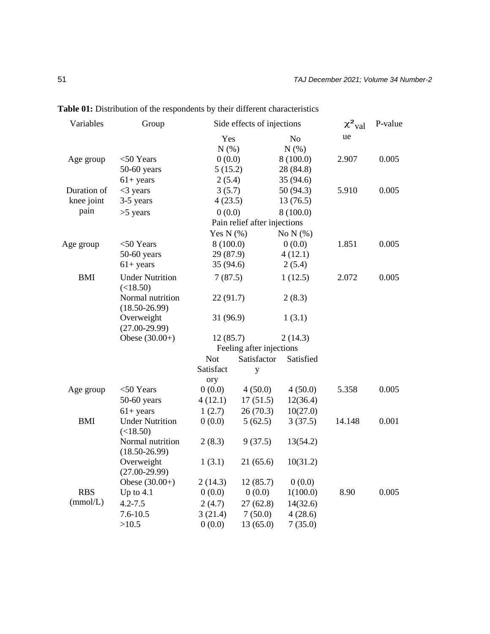| Variables   | Group                                 | Side effects of injections     |                              |                         | $\chi^2$ <sub>val</sub> | P-value |
|-------------|---------------------------------------|--------------------------------|------------------------------|-------------------------|-------------------------|---------|
|             |                                       | Yes<br>N(% )                   |                              | N <sub>o</sub><br>N(% ) | ue                      |         |
| Age group   | $<$ 50 Years                          | 0(0.0)                         |                              | 8(100.0)                | 2.907                   | 0.005   |
|             | $50-60$ years                         | 5(15.2)                        |                              | 28 (84.8)               |                         |         |
|             | $61 + years$                          | 2(5.4)                         |                              | 35 (94.6)               |                         |         |
| Duration of | $<$ 3 years                           | 3(5.7)                         |                              | 50(94.3)                | 5.910                   | 0.005   |
| knee joint  | 3-5 years                             | 4(23.5)                        |                              | 13(76.5)                |                         |         |
| pain        | $>5$ years                            | 0(0.0)<br>8(100.0)             |                              |                         |                         |         |
|             |                                       |                                | Pain relief after injections |                         |                         |         |
|             |                                       | Yes N $(\% )$<br>No $N$ $(\%)$ |                              |                         |                         |         |
| Age group   | $<$ 50 Years                          | 8(100.0)                       |                              | 0(0.0)                  | 1.851                   | 0.005   |
|             | $50-60$ years                         | 29 (87.9)                      |                              | 4(12.1)                 |                         |         |
|             | $61 + years$                          | 35 (94.6)                      |                              | 2(5.4)                  |                         |         |
| <b>BMI</b>  | <b>Under Nutrition</b><br>(<18.50)    | 7(87.5)                        |                              | 1(12.5)                 | 2.072                   | 0.005   |
|             | Normal nutrition<br>$(18.50 - 26.99)$ | 22(91.7)                       |                              | 2(8.3)                  |                         |         |
|             | Overweight<br>$(27.00-29.99)$         | 31 (96.9)                      |                              | 1(3.1)                  |                         |         |
|             | Obese $(30.00+)$                      | 12(85.7)                       |                              | 2(14.3)                 |                         |         |
|             |                                       | Feeling after injections       |                              |                         |                         |         |
|             |                                       | <b>Not</b><br>Satisfactor      |                              | Satisfied               |                         |         |
|             |                                       | Satisfact                      | $\mathbf{y}$                 |                         |                         |         |
|             |                                       | ory                            |                              |                         |                         |         |
| Age group   | $<$ 50 Years                          | 0(0.0)                         | 4(50.0)                      | 4(50.0)                 | 5.358                   | 0.005   |
|             | $50-60$ years                         | 4(12.1)                        | 17(51.5)                     | 12(36.4)                |                         |         |
|             | $61+$ years                           | 1(2.7)                         | 26(70.3)                     | 10(27.0)                |                         |         |
| <b>BMI</b>  | <b>Under Nutrition</b><br>(<18.50)    | 0(0.0)                         | 5(62.5)                      | 3(37.5)                 | 14.148                  | 0.001   |
|             | Normal nutrition<br>$(18.50 - 26.99)$ | 2(8.3)                         | 9(37.5)                      | 13(54.2)                |                         |         |
|             | Overweight<br>$(27.00-29.99)$         | 1(3.1)                         | 21(65.6)                     | 10(31.2)                |                         |         |
|             | Obese $(30.00+)$                      | 2(14.3)                        | 12(85.7)                     | 0(0.0)                  |                         |         |
| <b>RBS</b>  | Up to $4.1$                           | 0(0.0)                         | 0(0.0)                       | 1(100.0)                | 8.90                    | 0.005   |
| (mmol/L)    | $4.2 - 7.5$                           | 2(4.7)                         | 27(62.8)                     | 14(32.6)                |                         |         |
|             | $7.6 - 10.5$                          | 3(21.4)                        | 7(50.0)                      | 4(28.6)                 |                         |         |
|             | >10.5                                 | 0(0.0)                         | 13(65.0)                     | 7(35.0)                 |                         |         |

**Table 01:** Distribution of the respondents by their different characteristics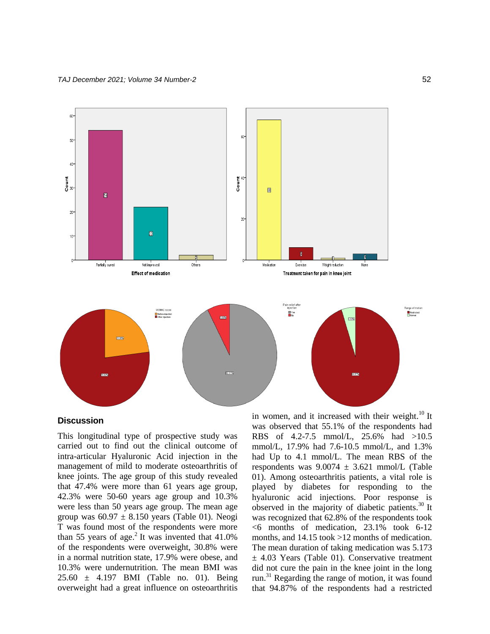

#### **Discussion**

This longitudinal type of prospective study was carried out to find out the clinical outcome of intra-articular Hyaluronic Acid injection in the management of mild to moderate osteoarthritis of knee joints. The age group of this study revealed that 47.4% were more than 61 years age group, 42.3% were 50-60 years age group and 10.3% were less than 50 years age group. The mean age group was  $60.97 \pm 8.150$  years (Table 01). Neogi T was found most of the respondents were more than 55 years of age. $2$  It was invented that 41.0% of the respondents were overweight, 30.8% were in a normal nutrition state, 17.9% were obese, and 10.3% were undernutrition. The mean BMI was 25.60 ± 4.197 BMI (Table no. 01). Being overweight had a great influence on osteoarthritis in women, and it increased with their weight. $^{10}$  It was observed that 55.1% of the respondents had RBS of 4.2-7.5 mmol/L, 25.6% had >10.5 mmol/L, 17.9% had 7.6-10.5 mmol/L, and 1.3% had Up to 4.1 mmol/L. The mean RBS of the respondents was  $9.0074 \pm 3.621$  mmol/L (Table 01). Among osteoarthritis patients, a vital role is played by diabetes for responding to the hyaluronic acid injections. Poor response is observed in the majority of diabetic patients.<sup>30</sup> It was recognized that 62.8% of the respondents took  $<6$  months of medication, 23.1% took 6-12 months, and 14.15 took >12 months of medication. The mean duration of taking medication was 5.173  $\pm$  4.03 Years (Table 01). Conservative treatment did not cure the pain in the knee joint in the long run.<sup>31</sup> Regarding the range of motion, it was found that 94.87% of the respondents had a restricted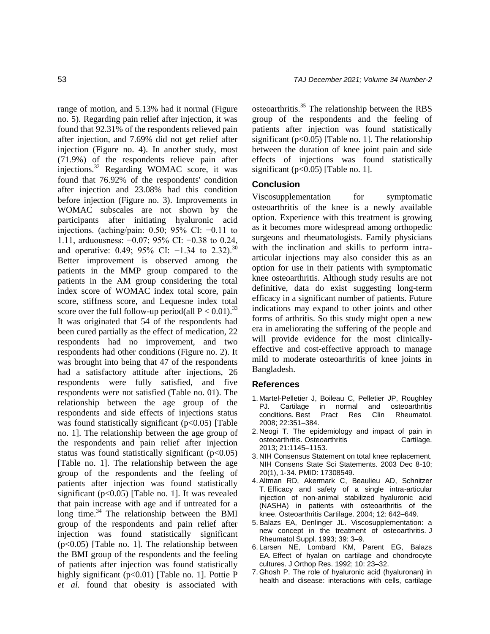range of motion, and 5.13% had it normal (Figure no. 5). Regarding pain relief after injection, it was found that 92.31% of the respondents relieved pain after injection, and 7.69% did not get relief after injection (Figure no. 4). In another study, most (71.9%) of the respondents relieve pain after injections.<sup>32</sup> Regarding WOMAC score, it was found that 76.92% of the respondents' condition after injection and 23.08% had this condition before injection (Figure no. 3). Improvements in WOMAC subscales are not shown by the participants after initiating hyaluronic acid injections. (aching/pain:  $0.50$ ;  $95\%$  CI:  $-0.11$  to 1.11, arduousness: −0.07; 95% CI: −0.38 to 0.24, and operative: 0.49; 95% CI:  $-1.34$  to 2.32).<sup>30</sup> Better improvement is observed among the patients in the MMP group compared to the patients in the AM group considering the total index score of WOMAC index total score, pain score, stiffness score, and Lequesne index total score over the full follow-up period(all  $P < 0.01$ ).<sup>33</sup> It was originated that 54 of the respondents had been cured partially as the effect of medication, 22 respondents had no improvement, and two respondents had other conditions (Figure no. 2). It was brought into being that 47 of the respondents had a satisfactory attitude after injections, 26 respondents were fully satisfied, and five respondents were not satisfied (Table no. 01). The relationship between the age group of the respondents and side effects of injections status was found statistically significant  $(p<0.05)$  [Table no. 1]. The relationship between the age group of the respondents and pain relief after injection status was found statistically significant  $(p<0.05)$ [Table no. 1]. The relationship between the age group of the respondents and the feeling of patients after injection was found statistically significant ( $p<0.05$ ) [Table no. 1]. It was revealed that pain increase with age and if untreated for a  $\log$  time.<sup>34</sup> The relationship between the BMI group of the respondents and pain relief after injection was found statistically significant  $(p<0.05)$  [Table no. 1]. The relationship between the BMI group of the respondents and the feeling of patients after injection was found statistically highly significant  $(p<0.01)$  [Table no. 1]. Pottie P *et al.* found that obesity is associated with osteoarthritis.<sup>35</sup> The relationship between the RBS group of the respondents and the feeling of patients after injection was found statistically significant ( $p<0.05$ ) [Table no. 1]. The relationship between the duration of knee joint pain and side effects of injections was found statistically significant ( $p<0.05$ ) [Table no. 1].

## **Conclusion**

Viscosupplementation for symptomatic osteoarthritis of the knee is a newly available option. Experience with this treatment is growing as it becomes more widespread among orthopedic surgeons and rheumatologists. Family physicians with the inclination and skills to perform intraarticular injections may also consider this as an option for use in their patients with symptomatic knee osteoarthritis. Although study results are not definitive, data do exist suggesting long-term efficacy in a significant number of patients. Future indications may expand to other joints and other forms of arthritis. So this study might open a new era in ameliorating the suffering of the people and will provide evidence for the most clinicallyeffective and cost-effective approach to manage mild to moderate osteoarthritis of knee joints in Bangladesh.

#### **References**

- 1. Martel-Pelletier J, Boileau C, Pelletier JP, Roughley PJ. Cartilage in normal and conditions. Best Pract Res Clin Rheumatol. 2008; 22:351–384.
- 2. Neogi T. The epidemiology and impact of pain in osteoarthritis. Osteoarthritis **Cartilage.** 2013; 21:1145–1153.
- 3. NIH Consensus Statement on total knee replacement. NIH Consens State Sci Statements. 2003 Dec 8-10; 20(1), 1-34. PMID: 17308549.
- 4.Altman RD, Akermark C, Beaulieu AD, Schnitzer T. Efficacy and safety of a single intra-articular injection of non-animal stabilized hyaluronic acid (NASHA) in patients with osteoarthritis of the knee. Osteoarthritis Cartilage. 2004; 12: 642–649.
- 5.Balazs EA, Denlinger JL. Viscosupplementation: a new concept in the treatment of osteoarthritis. J Rheumatol Suppl. 1993; 39: 3–9.
- 6. Larsen NE, Lombard KM, Parent EG, Balazs EA. Effect of hyalan on cartilage and chondrocyte cultures. J Orthop Res. 1992; 10: 23–32.
- 7. Ghosh P. The role of hyaluronic acid (hyaluronan) in health and disease: interactions with cells, cartilage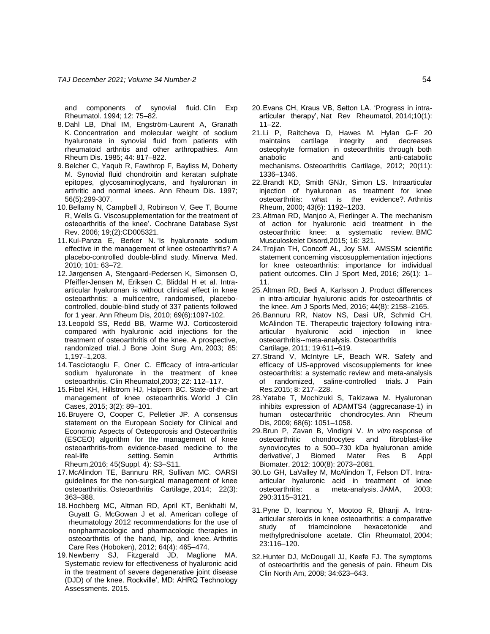and components of synovial fluid. Clin Exp Rheumatol. 1994; 12: 75–82.

- 8. Dahl LB, Dhal IM, Engström-Laurent A, Granath K. Concentration and molecular weight of sodium hyaluronate in synovial fluid from patients with rheumatoid arthritis and other arthropathies. Ann Rheum Dis. 1985; 44: 817–822.
- 9.Belcher C, Yaqub R, Fawthrop F, Bayliss M, Doherty M. Synovial fluid chondroitin and keratan sulphate epitopes, glycosaminoglycans, and hyaluronan in arthritic and normal knees. Ann Rheum Dis. 1997; 56(5):299-307.
- 10.Bellamy N, Campbell J, Robinson V, Gee T, Bourne R, Wells G. Viscosupplementation for the treatment of osteoarthritis of the knee'. Cochrane Database Syst Rev. 2006; 19;(2):CD005321.
- 11.Kul-Panza E, Berker N. 'Is hyaluronate sodium effective in the management of knee osteoarthritis? A placebo-controlled double-blind study. Minerva Med. 2010; 101: 63–72.
- 12.Jørgensen A, Stengaard-Pedersen K, Simonsen O, Pfeiffer-Jensen M, Eriksen C, Bliddal H et al. Intraarticular hyaluronan is without clinical effect in knee osteoarthritis: a multicentre, randomised, placebocontrolled, double-blind study of 337 patients followed for 1 year. Ann Rheum Dis, 2010; 69(6):1097-102.
- 13.Leopold SS, Redd BB, Warme WJ. Corticosteroid compared with hyaluronic acid injections for the treatment of osteoarthritis of the knee. A prospective, randomized trial. J Bone Joint Surg Am, 2003; 85: 1,197–1,203.
- 14.Tasciotaoglu F, Oner C. Efficacy of intra-articular sodium hyaluronate in the treatment of knee osteoarthritis. Clin Rheumatol,2003; 22: 112–117.
- 15.Fibel KH, Hillstrom HJ, Halpern BC. State-of-the-art management of knee osteoarthritis. World J Clin Cases, 2015; 3(2): 89–101.
- 16.Bruyere O, Cooper C, Pelletier JP. A consensus statement on the European Society for Clinical and Economic Aspects of Osteoporosis and Osteoarthritis (ESCEO) algorithm for the management of knee osteoarthritis-from evidence-based medicine to the real-life setting. Semin Arthritis Rheum,2016; 45(Suppl. 4): S3–S11.
- 17.McAlindon TE, Bannuru RR, Sullivan MC. OARSI guidelines for the non-surgical management of knee osteoarthritis. Osteoarthritis Cartilage, 2014; 22(3): 363–388.
- 18.Hochberg MC, Altman RD, April KT, Benkhalti M, Guyatt G, McGowan J et al. American college of rheumatology 2012 recommendations for the use of nonpharmacologic and pharmacologic therapies in osteoarthritis of the hand, hip, and knee. Arthritis Care Res (Hoboken), 2012; 64(4): 465–474.
- 19.Newberry SJ, Fitzgerald JD, Maglione MA. Systematic review for effectiveness of hyaluronic acid in the treatment of severe degenerative joint disease (DJD) of the knee. Rockville', MD: AHRQ Technology Assessments. 2015.
- 20.Evans CH, Kraus VB, Setton LA. 'Progress in intraarticular therapy', Nat Rev Rheumatol, 2014;10(1): 11–22.
- 21.Li P, Raitcheva D, Hawes M. Hylan G-F 20 maintains cartilage integrity and decreases osteophyte formation in osteoarthritis through both anabolic and anti-catabolic mechanisms. Osteoarthritis Cartilage, 2012; 20(11): 1336–1346.
- 22.Brandt KD, Smith GNJr, Simon LS. Intraarticular injection of hyaluronan as treatment for knee osteoarthritis: what is the evidence?. Arthritis Rheum, 2000; 43(6): 1192–1203.
- 23.Altman RD, Manjoo A, Fierlinger A. The mechanism of action for hyaluronic acid treatment in the osteoarthritic knee: a systematic review. BMC Musculoskelet Disord,2015; 16: 321.
- 24.Trojian TH, Concoff AL, Joy SM. AMSSM scientific statement concerning viscosupplementation injections for knee osteoarthritis: importance for individual patient outcomes. Clin J Sport Med, 2016; 26(1): 1– 11.
- 25.Altman RD, Bedi A, Karlsson J. Product differences in intra-articular hyaluronic acids for osteoarthritis of the knee. Am J Sports Med, 2016; 44(8): 2158–2165.
- 26.Bannuru RR, Natov NS, Dasi UR, Schmid CH, McAlindon TE. Therapeutic trajectory following intraarticular hyaluronic acid injection in knee osteoarthritis--meta-analysis. Osteoarthritis Cartilage, 2011; 19:611–619.
- 27.Strand V, McIntyre LF, Beach WR. Safety and efficacy of US-approved viscosupplements for knee osteoarthritis: a systematic review and meta-analysis of randomized, saline-controlled trials. J Pain Res,2015; 8: 217–228.
- 28.Yatabe T, Mochizuki S, Takizawa M. Hyaluronan inhibits expression of ADAMTS4 (aggrecanase-1) in human osteoarthritic chondrocytes. Ann Rheum Dis, 2009; 68(6): 1051–1058.
- 29.Brun P, Zavan B, Vindigni V. *In vitro* response of osteoarthritic chondrocytes and fibroblast-like synoviocytes to a 500–730 kDa hyaluronan amide derivative', J Biomed Mater Res B Appl Biomater. 2012; 100(8): 2073–2081.
- 30.Lo GH, LaValley M, McAlindon T, Felson DT. Intraarticular hyaluronic acid in treatment of knee osteoarthritis: a meta-analysis. JAMA, 2003; 290:3115–3121.
- 31.Pyne D, Ioannou Y, Mootoo R, Bhanji A. Intraarticular steroids in knee osteoarthritis: a comparative study of triamcinolone hexacetonide and methylprednisolone acetate. Clin Rheumatol, 2004; 23:116–120.
- 32.Hunter DJ, McDougall JJ, Keefe FJ. The symptoms of osteoarthritis and the genesis of pain. Rheum Dis Clin North Am, 2008; 34:623–643.